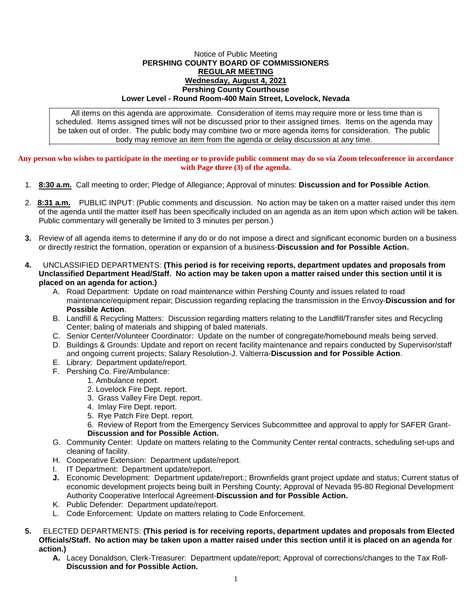## Notice of Public Meeting **PERSHING COUNTY BOARD OF COMMISSIONERS REGULAR MEETING Wednesday, August 4, 2021 Pershing County Courthouse Lower Level - Round Room-400 Main Street, Lovelock, Nevada**

All items on this agenda are approximate. Consideration of items may require more or less time than is scheduled. Items assigned times will not be discussed prior to their assigned times. Items on the agenda may be taken out of order. The public body may combine two or more agenda items for consideration. The public body may remove an item from the agenda or delay discussion at any time.

**Any person who wishes to participate in the meeting or to provide public comment may do so via Zoom teleconference in accordance with Page three (3) of the agenda.**

- 1. **8:30 a.m.** Call meeting to order; Pledge of Allegiance; Approval of minutes: **Discussion and for Possible Action**.
- 2. **8:31 a.m.** PUBLIC INPUT: (Public comments and discussion. No action may be taken on a matter raised under this item of the agenda until the matter itself has been specifically included on an agenda as an item upon which action will be taken. Public commentary will generally be limited to 3 minutes per person.)
- **3.** Review of all agenda items to determine if any do or do not impose a direct and significant economic burden on a business or directly restrict the formation, operation or expansion of a business-**Discussion and for Possible Action.**
- **4.** UNCLASSIFIED DEPARTMENTS: **(This period is for receiving reports, department updates and proposals from Unclassified Department Head/Staff. No action may be taken upon a matter raised under this section until it is placed on an agenda for action.)**
	- A. Road Department: Update on road maintenance within Pershing County and issues related to road maintenance/equipment repair; Discussion regarding replacing the transmission in the Envoy-**Discussion and for Possible Action**.
	- B. Landfill & Recycling Matters: Discussion regarding matters relating to the Landfill/Transfer sites and Recycling Center; baling of materials and shipping of baled materials.
	- C. Senior Center/Volunteer Coordinator: Update on the number of congregate/homebound meals being served.
	- D. Buildings & Grounds: Update and report on recent facility maintenance and repairs conducted by Supervisor/staff and ongoing current projects; Salary Resolution-J. Valtierra-**Discussion and for Possible Action**.
	- E. Library: Department update/report.
	- F. Pershing Co. Fire/Ambulance:
		- 1. Ambulance report.
		- 2. Lovelock Fire Dept. report.
		- 3. Grass Valley Fire Dept. report.
		- 4. Imlay Fire Dept. report.
		- 5. Rye Patch Fire Dept. report.
		- 6. Review of Report from the Emergency Services Subcommittee and approval to apply for SAFER Grant-**Discussion and for Possible Action.**
	- G. Community Center: Update on matters relating to the Community Center rental contracts, scheduling set-ups and cleaning of facility.
	- H. Cooperative Extension: Department update/report.
	- I. IT Department: Department update/report.
	- **J.** Economic Development: Department update/report.; Brownfields grant project update and status; Current status of economic development projects being built in Pershing County; Approval of Nevada 95-80 Regional Development Authority Cooperative Interlocal Agreement-**Discussion and for Possible Action.**
	- K. Public Defender: Department update/report.
	- L. Code Enforcement: Update on matters relating to Code Enforcement.
- **5.** ELECTED DEPARTMENTS: **(This period is for receiving reports, department updates and proposals from Elected Officials/Staff. No action may be taken upon a matter raised under this section until it is placed on an agenda for action.)**
	- **A.** Lacey Donaldson, Clerk-Treasurer: Department update/report; Approval of corrections/changes to the Tax Roll-**Discussion and for Possible Action.**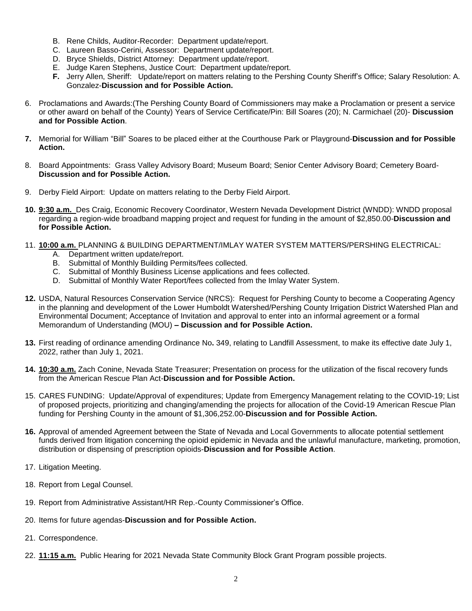- B. Rene Childs, Auditor-Recorder: Department update/report.
- C. Laureen Basso-Cerini, Assessor: Department update/report.
- D. Bryce Shields, District Attorney: Department update/report.
- E. Judge Karen Stephens, Justice Court: Department update/report.
- **F.** Jerry Allen, Sheriff: Update/report on matters relating to the Pershing County Sheriff's Office; Salary Resolution: A. Gonzalez-**Discussion and for Possible Action.**
- 6. Proclamations and Awards:(The Pershing County Board of Commissioners may make a Proclamation or present a service or other award on behalf of the County) Years of Service Certificate/Pin: Bill Soares (20); N. Carmichael (20)- **Discussion and for Possible Action**.
- **7.** Memorial for William "Bill" Soares to be placed either at the Courthouse Park or Playground-**Discussion and for Possible Action.**
- 8. Board Appointments: Grass Valley Advisory Board; Museum Board; Senior Center Advisory Board; Cemetery Board-**Discussion and for Possible Action.**
- 9. Derby Field Airport: Update on matters relating to the Derby Field Airport.
- **10. 9:30 a.m.** Des Craig, Economic Recovery Coordinator, Western Nevada Development District (WNDD): WNDD proposal regarding a region-wide broadband mapping project and request for funding in the amount of \$2,850.00-**Discussion and for Possible Action.**
- 11. **10:00 a.m.** PLANNING & BUILDING DEPARTMENT/IMLAY WATER SYSTEM MATTERS/PERSHING ELECTRICAL:
	- A. Department written update/report.
	- B. Submittal of Monthly Building Permits/fees collected.
	- C. Submittal of Monthly Business License applications and fees collected.
	- D. Submittal of Monthly Water Report/fees collected from the Imlay Water System.
- **12.** USDA, Natural Resources Conservation Service (NRCS): Request for Pershing County to become a Cooperating Agency in the planning and development of the Lower Humboldt Watershed/Pershing County Irrigation District Watershed Plan and Environmental Document; Acceptance of Invitation and approval to enter into an informal agreement or a formal Memorandum of Understanding (MOU) **– Discussion and for Possible Action.**
- **13.** First reading of ordinance amending Ordinance No**.** 349, relating to Landfill Assessment, to make its effective date July 1, 2022, rather than July 1, 2021.
- **14. 10:30 a.m.** Zach Conine, Nevada State Treasurer; Presentation on process for the utilization of the fiscal recovery funds from the American Rescue Plan Act-**Discussion and for Possible Action.**
- 15. CARES FUNDING: Update/Approval of expenditures; Update from Emergency Management relating to the COVID-19; List of proposed projects, prioritizing and changing/amending the projects for allocation of the Covid-19 American Rescue Plan funding for Pershing County in the amount of \$1,306,252.00-**Discussion and for Possible Action.**
- **16.** Approval of amended Agreement between the State of Nevada and Local Governments to allocate potential settlement funds derived from litigation concerning the opioid epidemic in Nevada and the unlawful manufacture, marketing, promotion, distribution or dispensing of prescription opioids-**Discussion and for Possible Action**.
- 17. Litigation Meeting.
- 18. Report from Legal Counsel.
- 19. Report from Administrative Assistant/HR Rep.-County Commissioner's Office.
- 20. Items for future agendas-**Discussion and for Possible Action.**
- 21. Correspondence.
- 22. **11:15 a.m.** Public Hearing for 2021 Nevada State Community Block Grant Program possible projects.